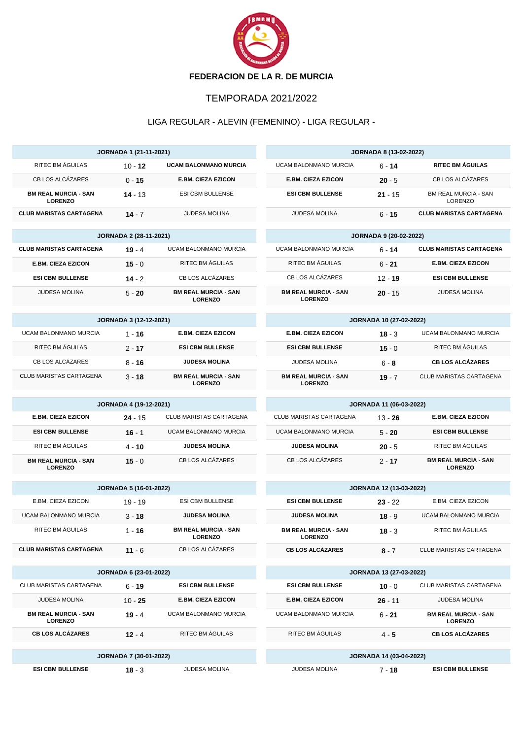

## TEMPORADA 2021/2022

## LIGA REGULAR - ALEVIN (FEMENINO) - LIGA REGULAR -

| JORNADA 1 (21-11-2021)                        |                        |                                               | <b>JORNADA 8 (13-02-2022)</b>                 |           |                                               |  |
|-----------------------------------------------|------------------------|-----------------------------------------------|-----------------------------------------------|-----------|-----------------------------------------------|--|
| RITEC BM ÁGUILAS                              | $10 - 12$              | UCAM BALONMANO MURCIA                         | UCAM BALONMANO MURCIA                         | $6 - 14$  | <b>RITEC BM ÁGUILAS</b>                       |  |
| CB LOS ALCÁZARES                              | $0 - 15$               | <b>E.BM. CIEZA EZICON</b>                     | <b>E.BM. CIEZA EZICON</b>                     | $20 - 5$  | CB LOS ALCÁZARES                              |  |
| <b>BM REAL MURCIA - SAN</b><br><b>LORENZO</b> | $14 - 13$              | <b>ESI CBM BULLENSE</b>                       | <b>ESI CBM BULLENSE</b>                       | $21 - 15$ | <b>BM REAL MURCIA - SAN</b><br><b>LORENZO</b> |  |
| <b>CLUB MARISTAS CARTAGENA</b>                | $14 - 7$               | JUDESA MOLINA                                 | JUDESA MOLINA                                 | $6 - 15$  | <b>CLUB MARISTAS CARTAGENA</b>                |  |
| <b>JORNADA 2 (28-11-2021)</b>                 |                        |                                               | <b>JORNADA 9 (20-02-2022)</b>                 |           |                                               |  |
| <b>CLUB MARISTAS CARTAGENA</b>                | $19 - 4$               | UCAM BALONMANO MURCIA                         | <b>UCAM BALONMANO MURCIA</b>                  | $6 - 14$  | <b>CLUB MARISTAS CARTAGENA</b>                |  |
| <b>E.BM. CIEZA EZICON</b>                     | $15 - 0$               | RITEC BM ÁGUILAS                              | RITEC BM ÁGUILAS                              | $6 - 21$  | <b>E.BM. CIEZA EZICON</b>                     |  |
| <b>ESI CBM BULLENSE</b>                       | $14 - 2$               | CB LOS ALCÁZARES                              | CB LOS ALCÁZARES                              | $12 - 19$ | <b>ESI CBM BULLENSE</b>                       |  |
| <b>JUDESA MOLINA</b>                          | $5 - 20$               | <b>BM REAL MURCIA - SAN</b><br><b>LORENZO</b> | <b>BM REAL MURCIA - SAN</b><br><b>LORENZO</b> | $20 - 15$ | <b>JUDESA MOLINA</b>                          |  |
| <b>JORNADA 3 (12-12-2021)</b>                 |                        |                                               | JORNADA 10 (27-02-2022)                       |           |                                               |  |
| <b>UCAM BALONMANO MURCIA</b>                  | 1 - 16                 | <b>E.BM. CIEZA EZICON</b>                     | <b>E.BM. CIEZA EZICON</b>                     | $18 - 3$  | <b>UCAM BALONMANO MURCIA</b>                  |  |
| RITEC BM ÁGUILAS                              | $2 - 17$               | <b>ESI CBM BULLENSE</b>                       | <b>ESI CBM BULLENSE</b>                       | $15 - 0$  | RITEC BM ÁGUILAS                              |  |
| CB LOS ALCÁZARES                              | $8 - 16$               | <b>JUDESA MOLINA</b>                          | <b>JUDESA MOLINA</b>                          | $6 - 8$   | <b>CB LOS ALCÁZARES</b>                       |  |
| CLUB MARISTAS CARTAGENA                       | $3 - 18$               | <b>BM REAL MURCIA - SAN</b><br><b>LORENZO</b> | <b>BM REAL MURCIA - SAN</b><br><b>LORENZO</b> | $19 - 7$  | CLUB MARISTAS CARTAGENA                       |  |
| <b>JORNADA 4 (19-12-2021)</b>                 |                        |                                               | JORNADA 11 (06-03-2022)                       |           |                                               |  |
| <b>E.BM. CIEZA EZICON</b>                     | $24 - 15$              | CLUB MARISTAS CARTAGENA                       | CLUB MARISTAS CARTAGENA                       | $13 - 26$ | <b>E.BM. CIEZA EZICON</b>                     |  |
| <b>ESI CBM BULLENSE</b>                       | $16 - 1$               | UCAM BALONMANO MURCIA                         | UCAM BALONMANO MURCIA                         | $5 - 20$  | <b>ESI CBM BULLENSE</b>                       |  |
| RITEC BM ÁGUILAS                              | $4 - 10$               | <b>JUDESA MOLINA</b>                          | <b>JUDESA MOLINA</b>                          | $20 - 5$  | RITEC BM AGUILAS                              |  |
| <b>BM REAL MURCIA - SAN</b><br><b>LORENZO</b> | $15 - 0$               | CB LOS ALCÁZARES                              | CB LOS ALCÁZARES                              | $2 - 17$  | <b>BM REAL MURCIA - SAN</b><br><b>LORENZO</b> |  |
| <b>JORNADA 5 (16-01-2022)</b>                 |                        |                                               | JORNADA 12 (13-03-2022)                       |           |                                               |  |
| E.BM. CIEZA EZICON                            | 19 - 19                | <b>ESI CBM BULLENSE</b>                       | <b>ESI CBM BULLENSE</b>                       | $23 - 22$ | E.BM. CIEZA EZICON                            |  |
| <b>UCAM BALONMANO MURCIA</b>                  | $3 - 18$               | <b>JUDESA MOLINA</b>                          | <b>JUDESA MOLINA</b>                          | $18 - 9$  | UCAM BALONMANO MURCIA                         |  |
| RITEC BM AGUILAS                              | $1 - 16$               | <b>BM REAL MURCIA - SAN</b><br><b>LORENZO</b> | <b>BM REAL MURCIA - SAN</b><br><b>LORENZO</b> | $18 - 3$  | RITEC BM AGUILAS                              |  |
| <b>CLUB MARISTAS CARTAGENA</b>                | $11 - 6$               | CB LOS ALCÁZARES                              | <b>CB LOS ALCÁZARES</b>                       | $8 - 7$   | CLUB MARISTAS CARTAGENA                       |  |
|                                               | JORNADA 6 (23-01-2022) |                                               | JORNADA 13 (27-03-2022)                       |           |                                               |  |
| CLUB MARISTAS CARTAGENA                       | $6 - 19$               | <b>ESI CBM BULLENSE</b>                       | <b>ESI CBM BULLENSE</b>                       | $10 - 0$  | CLUB MARISTAS CARTAGENA                       |  |
| <b>JUDESA MOLINA</b>                          | $10 - 25$              | <b>E.BM. CIEZA EZICON</b>                     | <b>E.BM. CIEZA EZICON</b>                     | $26 - 11$ | <b>JUDESA MOLINA</b>                          |  |
| <b>BM REAL MURCIA - SAN</b><br><b>LORENZO</b> | 19 - 4                 | UCAM BALONMANO MURCIA                         | UCAM BALONMANO MURCIA                         | $6 - 21$  | <b>BM REAL MURCIA - SAN</b><br><b>LORENZO</b> |  |
| <b>CB LOS ALCÁZARES</b>                       | $12 - 4$               | RITEC BM ÁGUILAS                              | RITEC BM ÁGUILAS                              | $4 - 5$   | <b>CB LOS ALCÁZARES</b>                       |  |
| <b>JORNADA 7 (30-01-2022)</b>                 |                        |                                               | <b>JORNADA 14 (03-04-2022)</b>                |           |                                               |  |
| <b>ESI CBM BULLENSE</b>                       | $18 - 3$               | JUDESA MOLINA                                 | JUDESA MOLINA                                 | $7 - 18$  | <b>ESI CBM BULLENSE</b>                       |  |